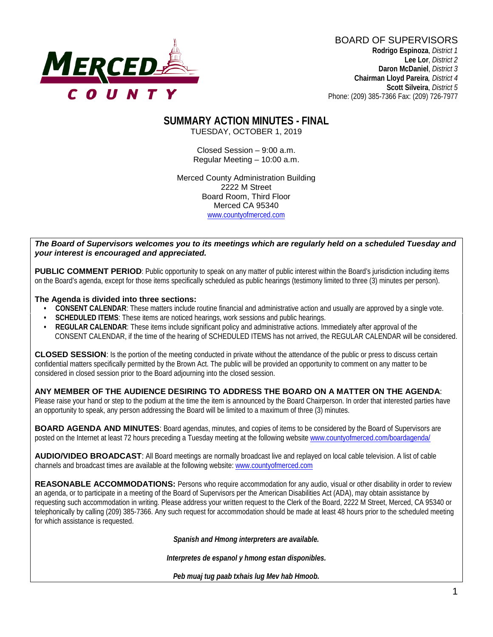

BOARD OF SUPERVISORS **Rodrigo Espinoza**, *District 1*  **Lee Lor**, *District 2*  **Daron McDaniel**, *District 3* **Chairman Lloyd Pareira***, District 4*  **Scott Silveira**, *District 5* Phone: (209) 385-7366 Fax: (209) 726-7977

#### **SUMMARY ACTION MINUTES - FINAL** TUESDAY, OCTOBER 1, 2019

Closed Session – 9:00 a.m. Regular Meeting – 10:00 a.m.

Merced County Administration Building 2222 M Street Board Room, Third Floor Merced CA 95340 www.countyofmerced.com

#### *The Board of Supervisors welcomes you to its meetings which are regularly held on a scheduled Tuesday and your interest is encouraged and appreciated.*

**PUBLIC COMMENT PERIOD:** Public opportunity to speak on any matter of public interest within the Board's jurisdiction including items on the Board's agenda, except for those items specifically scheduled as public hearings (testimony limited to three (3) minutes per person).

#### **The Agenda is divided into three sections:**

- **CONSENT CALENDAR**: These matters include routine financial and administrative action and usually are approved by a single vote.
- **SCHEDULED ITEMS:** These items are noticed hearings, work sessions and public hearings.
- **REGULAR CALENDAR**: These items include significant policy and administrative actions. Immediately after approval of the CONSENT CALENDAR, if the time of the hearing of SCHEDULED ITEMS has not arrived, the REGULAR CALENDAR will be considered.

**CLOSED SESSION**: Is the portion of the meeting conducted in private without the attendance of the public or press to discuss certain confidential matters specifically permitted by the Brown Act. The public will be provided an opportunity to comment on any matter to be considered in closed session prior to the Board adjourning into the closed session.

#### **ANY MEMBER OF THE AUDIENCE DESIRING TO ADDRESS THE BOARD ON A MATTER ON THE AGENDA**:

Please raise your hand or step to the podium at the time the item is announced by the Board Chairperson. In order that interested parties have an opportunity to speak, any person addressing the Board will be limited to a maximum of three (3) minutes.

**BOARD AGENDA AND MINUTES:** Board agendas, minutes, and copies of items to be considered by the Board of Supervisors are posted on the Internet at least 72 hours preceding a Tuesday meeting at the following website [www.countyofmerced.com/boardagenda/](http://www.countyofmerced.com/boardagenda/) 

**AUDIO/VIDEO BROADCAST**: All Board meetings are normally broadcast live and replayed on local cable television. A list of cable channels and broadcast times are available at the following website[: www.countyofmerced.com](http://www.countyofmerced.com/)

**REASONABLE ACCOMMODATIONS:** Persons who require accommodation for any audio, visual or other disability in order to review an agenda, or to participate in a meeting of the Board of Supervisors per the American Disabilities Act (ADA), may obtain assistance by requesting such accommodation in writing. Please address your written request to the Clerk of the Board, 2222 M Street, Merced, CA 95340 or telephonically by calling (209) 385-7366. Any such request for accommodation should be made at least 48 hours prior to the scheduled meeting for which assistance is requested.

*Spanish and Hmong interpreters are available.*

*Interpretes de espanol y hmong estan disponibles.*

*Peb muaj tug paab txhais lug Mev hab Hmoob.*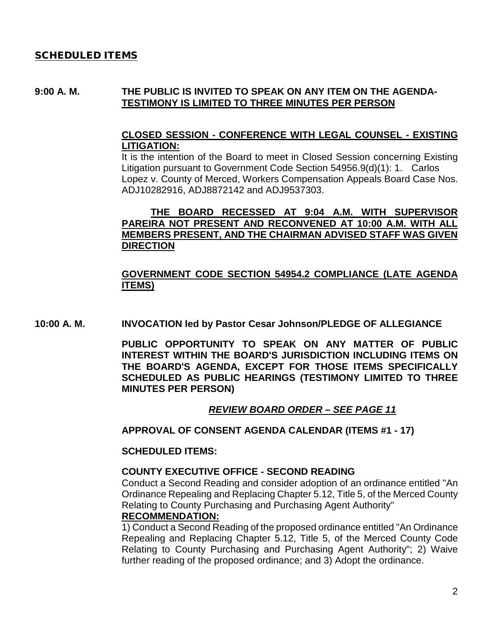#### SCHEDULED ITEMS

#### **9:00 A. M. THE PUBLIC IS INVITED TO SPEAK ON ANY ITEM ON THE AGENDA-TESTIMONY IS LIMITED TO THREE MINUTES PER PERSON**

### **CLOSED SESSION - CONFERENCE WITH LEGAL COUNSEL - EXISTING LITIGATION:**

It is the intention of the Board to meet in Closed Session concerning Existing Litigation pursuant to Government Code Section 54956.9(d)(1): 1. Carlos Lopez v. County of Merced, Workers Compensation Appeals Board Case Nos. ADJ10282916, ADJ8872142 and ADJ9537303.

#### **THE BOARD RECESSED AT 9:04 A.M. WITH SUPERVISOR PAREIRA NOT PRESENT AND RECONVENED AT 10:00 A.M. WITH ALL MEMBERS PRESENT, AND THE CHAIRMAN ADVISED STAFF WAS GIVEN DIRECTION**

#### **GOVERNMENT CODE SECTION 54954.2 COMPLIANCE (LATE AGENDA ITEMS)**

**10:00 A. M. INVOCATION led by Pastor Cesar Johnson/PLEDGE OF ALLEGIANCE**

**PUBLIC OPPORTUNITY TO SPEAK ON ANY MATTER OF PUBLIC INTEREST WITHIN THE BOARD'S JURISDICTION INCLUDING ITEMS ON THE BOARD'S AGENDA, EXCEPT FOR THOSE ITEMS SPECIFICALLY SCHEDULED AS PUBLIC HEARINGS (TESTIMONY LIMITED TO THREE MINUTES PER PERSON)**

#### *REVIEW BOARD ORDER – SEE PAGE 11*

**APPROVAL OF CONSENT AGENDA CALENDAR (ITEMS #1 - 17)**

#### **SCHEDULED ITEMS:**

#### **COUNTY EXECUTIVE OFFICE - SECOND READING**

Conduct a Second Reading and consider adoption of an ordinance entitled "An Ordinance Repealing and Replacing Chapter 5.12, Title 5, of the Merced County Relating to County Purchasing and Purchasing Agent Authority" **RECOMMENDATION:**

1) Conduct a Second Reading of the proposed ordinance entitled "An Ordinance Repealing and Replacing Chapter 5.12, Title 5, of the Merced County Code Relating to County Purchasing and Purchasing Agent Authority"; 2) Waive further reading of the proposed ordinance; and 3) Adopt the ordinance.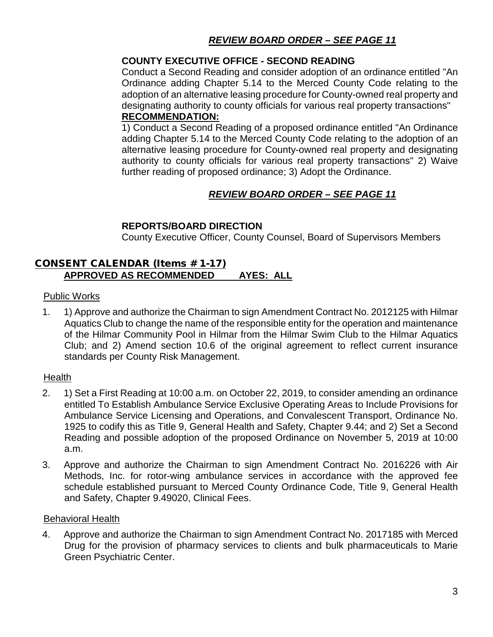## *REVIEW BOARD ORDER – SEE PAGE 11*

### **COUNTY EXECUTIVE OFFICE - SECOND READING**

Conduct a Second Reading and consider adoption of an ordinance entitled "An Ordinance adding Chapter 5.14 to the Merced County Code relating to the adoption of an alternative leasing procedure for County-owned real property and designating authority to county officials for various real property transactions"

## **RECOMMENDATION:**

1) Conduct a Second Reading of a proposed ordinance entitled "An Ordinance adding Chapter 5.14 to the Merced County Code relating to the adoption of an alternative leasing procedure for County-owned real property and designating authority to county officials for various real property transactions" 2) Waive further reading of proposed ordinance; 3) Adopt the Ordinance.

## *REVIEW BOARD ORDER – SEE PAGE 11*

### **REPORTS/BOARD DIRECTION**

County Executive Officer, County Counsel, Board of Supervisors Members

### CONSENT CALENDAR (Items # 1-17) **APPROVED AS RECOMMENDED AYES: ALL**

#### Public Works

1. 1) Approve and authorize the Chairman to sign Amendment Contract No. 2012125 with Hilmar Aquatics Club to change the name of the responsible entity for the operation and maintenance of the Hilmar Community Pool in Hilmar from the Hilmar Swim Club to the Hilmar Aquatics Club; and 2) Amend section 10.6 of the original agreement to reflect current insurance standards per County Risk Management.

#### Health

- 2. 1) Set a First Reading at 10:00 a.m. on October 22, 2019, to consider amending an ordinance entitled To Establish Ambulance Service Exclusive Operating Areas to Include Provisions for Ambulance Service Licensing and Operations, and Convalescent Transport, Ordinance No. 1925 to codify this as Title 9, General Health and Safety, Chapter 9.44; and 2) Set a Second Reading and possible adoption of the proposed Ordinance on November 5, 2019 at 10:00 a.m.
- 3. Approve and authorize the Chairman to sign Amendment Contract No. 2016226 with Air Methods, Inc. for rotor-wing ambulance services in accordance with the approved fee schedule established pursuant to Merced County Ordinance Code, Title 9, General Health and Safety, Chapter 9.49020, Clinical Fees.

#### Behavioral Health

4. Approve and authorize the Chairman to sign Amendment Contract No. 2017185 with Merced Drug for the provision of pharmacy services to clients and bulk pharmaceuticals to Marie Green Psychiatric Center.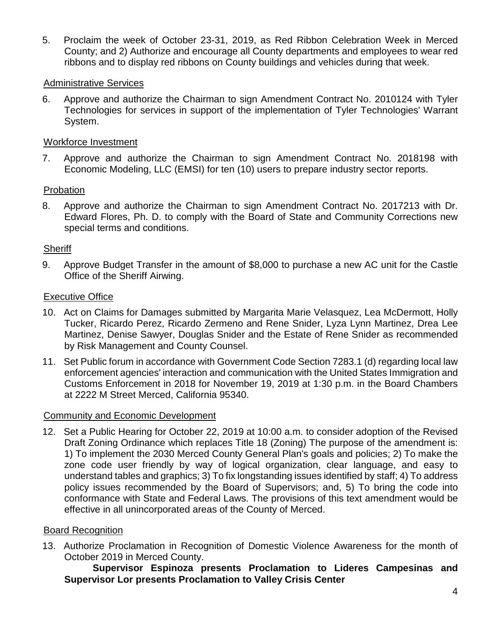5. Proclaim the week of October 23-31, 2019, as Red Ribbon Celebration Week in Merced County; and 2) Authorize and encourage all County departments and employees to wear red ribbons and to display red ribbons on County buildings and vehicles during that week.

## Administrative Services

6. Approve and authorize the Chairman to sign Amendment Contract No. 2010124 with Tyler Technologies for services in support of the implementation of Tyler Technologies' Warrant System.

### Workforce Investment

7. Approve and authorize the Chairman to sign Amendment Contract No. 2018198 with Economic Modeling, LLC (EMSI) for ten (10) users to prepare industry sector reports.

### Probation

8. Approve and authorize the Chairman to sign Amendment Contract No. 2017213 with Dr. Edward Flores, Ph. D. to comply with the Board of State and Community Corrections new special terms and conditions.

#### **Sheriff**

9. Approve Budget Transfer in the amount of \$8,000 to purchase a new AC unit for the Castle Office of the Sheriff Airwing.

#### Executive Office

- 10. Act on Claims for Damages submitted by Margarita Marie Velasquez, Lea McDermott, Holly Tucker, Ricardo Perez, Ricardo Zermeno and Rene Snider, Lyza Lynn Martinez, Drea Lee Martinez, Denise Sawyer, Douglas Snider and the Estate of Rene Snider as recommended by Risk Management and County Counsel.
- 11. Set Public forum in accordance with Government Code Section 7283.1 (d) regarding local law enforcement agencies' interaction and communication with the United States Immigration and Customs Enforcement in 2018 for November 19, 2019 at 1:30 p.m. in the Board Chambers at 2222 M Street Merced, California 95340.

#### Community and Economic Development

12. Set a Public Hearing for October 22, 2019 at 10:00 a.m. to consider adoption of the Revised Draft Zoning Ordinance which replaces Title 18 (Zoning) The purpose of the amendment is: 1) To implement the 2030 Merced County General Plan's goals and policies; 2) To make the zone code user friendly by way of logical organization, clear language, and easy to understand tables and graphics; 3) To fix longstanding issues identified by staff; 4) To address policy issues recommended by the Board of Supervisors; and, 5) To bring the code into conformance with State and Federal Laws. The provisions of this text amendment would be effective in all unincorporated areas of the County of Merced.

#### Board Recognition

13. Authorize Proclamation in Recognition of Domestic Violence Awareness for the month of October 2019 in Merced County.

#### **Supervisor Espinoza presents Proclamation to Lideres Campesinas and Supervisor Lor presents Proclamation to Valley Crisis Center**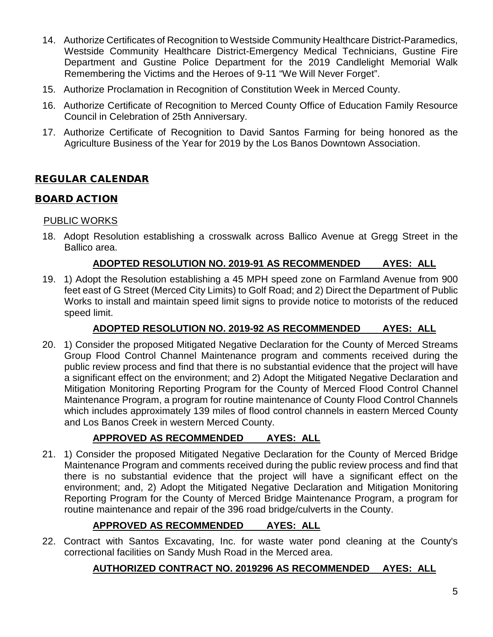- 14. Authorize Certificates of Recognition to Westside Community Healthcare District-Paramedics, Westside Community Healthcare District-Emergency Medical Technicians, Gustine Fire Department and Gustine Police Department for the 2019 Candlelight Memorial Walk Remembering the Victims and the Heroes of 9-11 "We Will Never Forget".
- 15. Authorize Proclamation in Recognition of Constitution Week in Merced County.
- 16. Authorize Certificate of Recognition to Merced County Office of Education Family Resource Council in Celebration of 25th Anniversary.
- 17. Authorize Certificate of Recognition to David Santos Farming for being honored as the Agriculture Business of the Year for 2019 by the Los Banos Downtown Association.

## REGULAR CALENDAR

## BOARD ACTION

## PUBLIC WORKS

18. Adopt Resolution establishing a crosswalk across Ballico Avenue at Gregg Street in the Ballico area.

### **ADOPTED RESOLUTION NO. 2019-91 AS RECOMMENDED AYES: ALL**

19. 1) Adopt the Resolution establishing a 45 MPH speed zone on Farmland Avenue from 900 feet east of G Street (Merced City Limits) to Golf Road; and 2) Direct the Department of Public Works to install and maintain speed limit signs to provide notice to motorists of the reduced speed limit.

## **ADOPTED RESOLUTION NO. 2019-92 AS RECOMMENDED AYES: ALL**

20. 1) Consider the proposed Mitigated Negative Declaration for the County of Merced Streams Group Flood Control Channel Maintenance program and comments received during the public review process and find that there is no substantial evidence that the project will have a significant effect on the environment; and 2) Adopt the Mitigated Negative Declaration and Mitigation Monitoring Reporting Program for the County of Merced Flood Control Channel Maintenance Program, a program for routine maintenance of County Flood Control Channels which includes approximately 139 miles of flood control channels in eastern Merced County and Los Banos Creek in western Merced County.

## **APPROVED AS RECOMMENDED AYES: ALL**

21. 1) Consider the proposed Mitigated Negative Declaration for the County of Merced Bridge Maintenance Program and comments received during the public review process and find that there is no substantial evidence that the project will have a significant effect on the environment; and, 2) Adopt the Mitigated Negative Declaration and Mitigation Monitoring Reporting Program for the County of Merced Bridge Maintenance Program, a program for routine maintenance and repair of the 396 road bridge/culverts in the County.

## **APPROVED AS RECOMMENDED AYES: ALL**

22. Contract with Santos Excavating, Inc. for waste water pond cleaning at the County's correctional facilities on Sandy Mush Road in the Merced area.

## **AUTHORIZED CONTRACT NO. 2019296 AS RECOMMENDED AYES: ALL**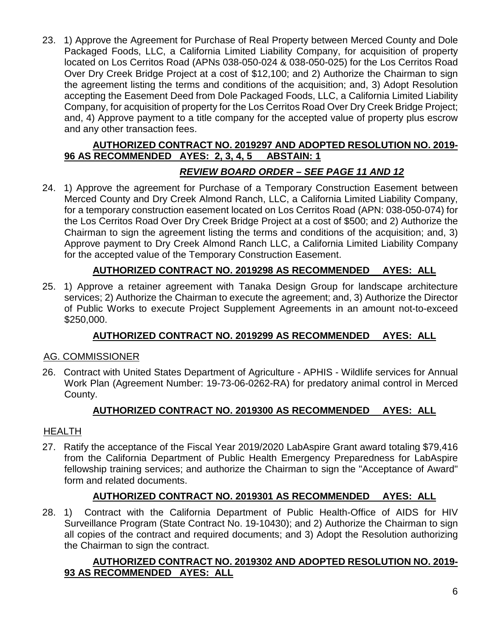23. 1) Approve the Agreement for Purchase of Real Property between Merced County and Dole Packaged Foods, LLC, a California Limited Liability Company, for acquisition of property located on Los Cerritos Road (APNs 038-050-024 & 038-050-025) for the Los Cerritos Road Over Dry Creek Bridge Project at a cost of \$12,100; and 2) Authorize the Chairman to sign the agreement listing the terms and conditions of the acquisition; and, 3) Adopt Resolution accepting the Easement Deed from Dole Packaged Foods, LLC, a California Limited Liability Company, for acquisition of property for the Los Cerritos Road Over Dry Creek Bridge Project; and, 4) Approve payment to a title company for the accepted value of property plus escrow and any other transaction fees.

## **AUTHORIZED CONTRACT NO. 2019297 AND ADOPTED RESOLUTION NO. 2019- 96 AS RECOMMENDED AYES: 2, 3, 4, 5 ABSTAIN: 1**

## *REVIEW BOARD ORDER – SEE PAGE 11 AND 12*

24. 1) Approve the agreement for Purchase of a Temporary Construction Easement between Merced County and Dry Creek Almond Ranch, LLC, a California Limited Liability Company, for a temporary construction easement located on Los Cerritos Road (APN: 038-050-074) for the Los Cerritos Road Over Dry Creek Bridge Project at a cost of \$500; and 2) Authorize the Chairman to sign the agreement listing the terms and conditions of the acquisition; and, 3) Approve payment to Dry Creek Almond Ranch LLC, a California Limited Liability Company for the accepted value of the Temporary Construction Easement.

## **AUTHORIZED CONTRACT NO. 2019298 AS RECOMMENDED AYES: ALL**

25. 1) Approve a retainer agreement with Tanaka Design Group for landscape architecture services; 2) Authorize the Chairman to execute the agreement; and, 3) Authorize the Director of Public Works to execute Project Supplement Agreements in an amount not-to-exceed \$250,000.

## **AUTHORIZED CONTRACT NO. 2019299 AS RECOMMENDED AYES: ALL**

## AG. COMMISSIONER

26. Contract with United States Department of Agriculture - APHIS - Wildlife services for Annual Work Plan (Agreement Number: 19-73-06-0262-RA) for predatory animal control in Merced County.

## **AUTHORIZED CONTRACT NO. 2019300 AS RECOMMENDED AYES: ALL**

## HEALTH

27. Ratify the acceptance of the Fiscal Year 2019/2020 LabAspire Grant award totaling \$79,416 from the California Department of Public Health Emergency Preparedness for LabAspire fellowship training services; and authorize the Chairman to sign the "Acceptance of Award" form and related documents.

## **AUTHORIZED CONTRACT NO. 2019301 AS RECOMMENDED AYES: ALL**

28. 1) Contract with the California Department of Public Health-Office of AIDS for HIV Surveillance Program (State Contract No. 19-10430); and 2) Authorize the Chairman to sign all copies of the contract and required documents; and 3) Adopt the Resolution authorizing the Chairman to sign the contract.

## **AUTHORIZED CONTRACT NO. 2019302 AND ADOPTED RESOLUTION NO. 2019- 93 AS RECOMMENDED AYES: ALL**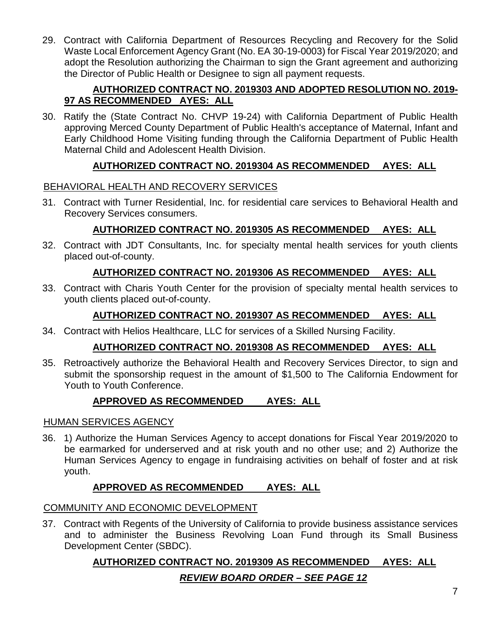29. Contract with California Department of Resources Recycling and Recovery for the Solid Waste Local Enforcement Agency Grant (No. EA 30-19-0003) for Fiscal Year 2019/2020; and adopt the Resolution authorizing the Chairman to sign the Grant agreement and authorizing the Director of Public Health or Designee to sign all payment requests.

## **AUTHORIZED CONTRACT NO. 2019303 AND ADOPTED RESOLUTION NO. 2019- 97 AS RECOMMENDED AYES: ALL**

30. Ratify the (State Contract No. CHVP 19-24) with California Department of Public Health approving Merced County Department of Public Health's acceptance of Maternal, Infant and Early Childhood Home Visiting funding through the California Department of Public Health Maternal Child and Adolescent Health Division.

## **AUTHORIZED CONTRACT NO. 2019304 AS RECOMMENDED AYES: ALL**

## BEHAVIORAL HEALTH AND RECOVERY SERVICES

31. Contract with Turner Residential, Inc. for residential care services to Behavioral Health and Recovery Services consumers.

## **AUTHORIZED CONTRACT NO. 2019305 AS RECOMMENDED AYES: ALL**

32. Contract with JDT Consultants, Inc. for specialty mental health services for youth clients placed out-of-county.

## **AUTHORIZED CONTRACT NO. 2019306 AS RECOMMENDED AYES: ALL**

33. Contract with Charis Youth Center for the provision of specialty mental health services to youth clients placed out-of-county.

## **AUTHORIZED CONTRACT NO. 2019307 AS RECOMMENDED AYES: ALL**

34. Contract with Helios Healthcare, LLC for services of a Skilled Nursing Facility.

## **AUTHORIZED CONTRACT NO. 2019308 AS RECOMMENDED AYES: ALL**

35. Retroactively authorize the Behavioral Health and Recovery Services Director, to sign and submit the sponsorship request in the amount of \$1,500 to The California Endowment for Youth to Youth Conference.

## **APPROVED AS RECOMMENDED AYES: ALL**

## HUMAN SERVICES AGENCY

36. 1) Authorize the Human Services Agency to accept donations for Fiscal Year 2019/2020 to be earmarked for underserved and at risk youth and no other use; and 2) Authorize the Human Services Agency to engage in fundraising activities on behalf of foster and at risk youth.

## **APPROVED AS RECOMMENDED AYES: ALL**

## COMMUNITY AND ECONOMIC DEVELOPMENT

37. Contract with Regents of the University of California to provide business assistance services and to administer the Business Revolving Loan Fund through its Small Business Development Center (SBDC).

## **AUTHORIZED CONTRACT NO. 2019309 AS RECOMMENDED AYES: ALL**

## *REVIEW BOARD ORDER – SEE PAGE 12*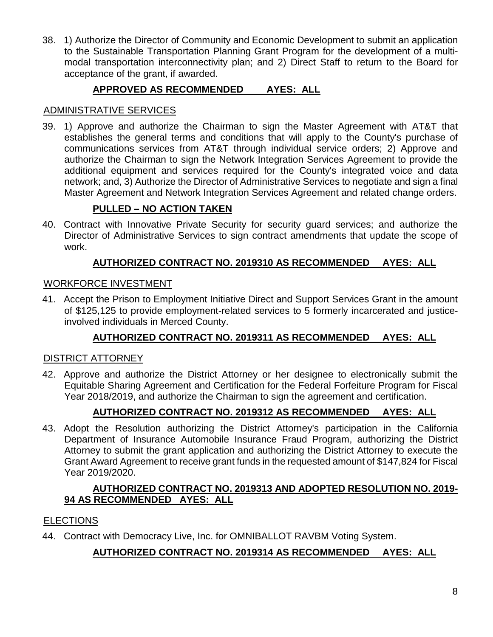38. 1) Authorize the Director of Community and Economic Development to submit an application to the Sustainable Transportation Planning Grant Program for the development of a multimodal transportation interconnectivity plan; and 2) Direct Staff to return to the Board for acceptance of the grant, if awarded.

## **APPROVED AS RECOMMENDED AYES: ALL**

## ADMINISTRATIVE SERVICES

39. 1) Approve and authorize the Chairman to sign the Master Agreement with AT&T that establishes the general terms and conditions that will apply to the County's purchase of communications services from AT&T through individual service orders; 2) Approve and authorize the Chairman to sign the Network Integration Services Agreement to provide the additional equipment and services required for the County's integrated voice and data network; and, 3) Authorize the Director of Administrative Services to negotiate and sign a final Master Agreement and Network Integration Services Agreement and related change orders.

## **PULLED – NO ACTION TAKEN**

40. Contract with Innovative Private Security for security guard services; and authorize the Director of Administrative Services to sign contract amendments that update the scope of work.

## **AUTHORIZED CONTRACT NO. 2019310 AS RECOMMENDED AYES: ALL**

## WORKFORCE INVESTMENT

41. Accept the Prison to Employment Initiative Direct and Support Services Grant in the amount of \$125,125 to provide employment-related services to 5 formerly incarcerated and justiceinvolved individuals in Merced County.

## **AUTHORIZED CONTRACT NO. 2019311 AS RECOMMENDED AYES: ALL**

## DISTRICT ATTORNEY

42. Approve and authorize the District Attorney or her designee to electronically submit the Equitable Sharing Agreement and Certification for the Federal Forfeiture Program for Fiscal Year 2018/2019, and authorize the Chairman to sign the agreement and certification.

## **AUTHORIZED CONTRACT NO. 2019312 AS RECOMMENDED AYES: ALL**

43. Adopt the Resolution authorizing the District Attorney's participation in the California Department of Insurance Automobile Insurance Fraud Program, authorizing the District Attorney to submit the grant application and authorizing the District Attorney to execute the Grant Award Agreement to receive grant funds in the requested amount of \$147,824 for Fiscal Year 2019/2020.

### **AUTHORIZED CONTRACT NO. 2019313 AND ADOPTED RESOLUTION NO. 2019- 94 AS RECOMMENDED AYES: ALL**

## ELECTIONS

44. Contract with Democracy Live, Inc. for OMNIBALLOT RAVBM Voting System.

## **AUTHORIZED CONTRACT NO. 2019314 AS RECOMMENDED AYES: ALL**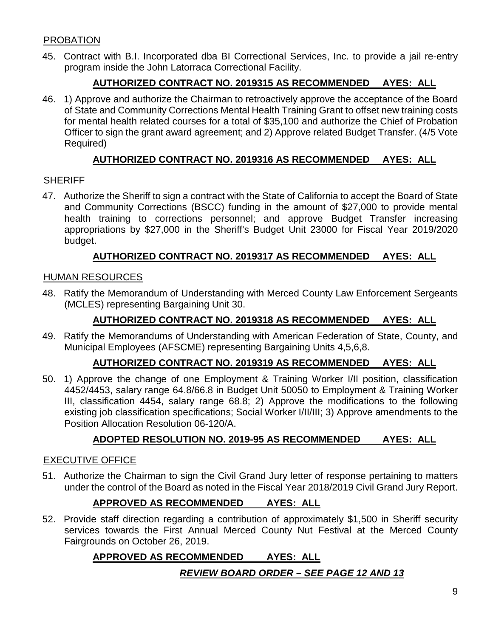## PROBATION

45. Contract with B.I. Incorporated dba BI Correctional Services, Inc. to provide a jail re-entry program inside the John Latorraca Correctional Facility.

## **AUTHORIZED CONTRACT NO. 2019315 AS RECOMMENDED AYES: ALL**

46. 1) Approve and authorize the Chairman to retroactively approve the acceptance of the Board of State and Community Corrections Mental Health Training Grant to offset new training costs for mental health related courses for a total of \$35,100 and authorize the Chief of Probation Officer to sign the grant award agreement; and 2) Approve related Budget Transfer. (4/5 Vote Required)

## **AUTHORIZED CONTRACT NO. 2019316 AS RECOMMENDED AYES: ALL**

### **SHERIFF**

47. Authorize the Sheriff to sign a contract with the State of California to accept the Board of State and Community Corrections (BSCC) funding in the amount of \$27,000 to provide mental health training to corrections personnel; and approve Budget Transfer increasing appropriations by \$27,000 in the Sheriff's Budget Unit 23000 for Fiscal Year 2019/2020 budget.

## **AUTHORIZED CONTRACT NO. 2019317 AS RECOMMENDED AYES: ALL**

#### HUMAN RESOURCES

48. Ratify the Memorandum of Understanding with Merced County Law Enforcement Sergeants (MCLES) representing Bargaining Unit 30.

## **AUTHORIZED CONTRACT NO. 2019318 AS RECOMMENDED AYES: ALL**

49. Ratify the Memorandums of Understanding with American Federation of State, County, and Municipal Employees (AFSCME) representing Bargaining Units 4,5,6,8.

#### **AUTHORIZED CONTRACT NO. 2019319 AS RECOMMENDED AYES: ALL**

50. 1) Approve the change of one Employment & Training Worker I/II position, classification 4452/4453, salary range 64.8/66.8 in Budget Unit 50050 to Employment & Training Worker III, classification 4454, salary range 68.8; 2) Approve the modifications to the following existing job classification specifications; Social Worker I/II/III; 3) Approve amendments to the Position Allocation Resolution 06-120/A.

## **ADOPTED RESOLUTION NO. 2019-95 AS RECOMMENDED AYES: ALL**

#### EXECUTIVE OFFICE

51. Authorize the Chairman to sign the Civil Grand Jury letter of response pertaining to matters under the control of the Board as noted in the Fiscal Year 2018/2019 Civil Grand Jury Report.

## **APPROVED AS RECOMMENDED AYES: ALL**

52. Provide staff direction regarding a contribution of approximately \$1,500 in Sheriff security services towards the First Annual Merced County Nut Festival at the Merced County Fairgrounds on October 26, 2019.

## **APPROVED AS RECOMMENDED AYES: ALL**

## *REVIEW BOARD ORDER – SEE PAGE 12 AND 13*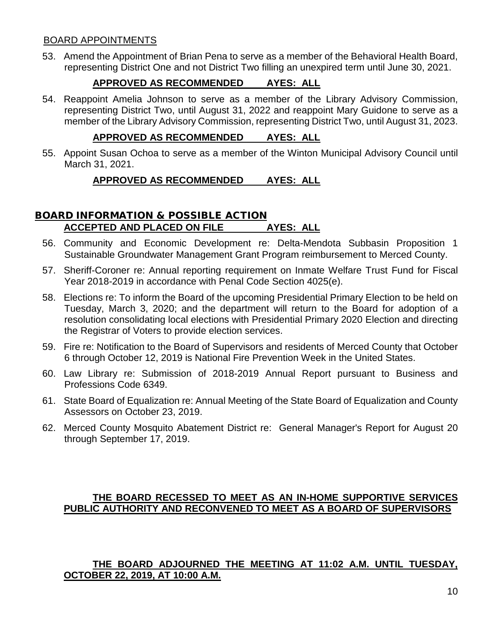### BOARD APPOINTMENTS

53. Amend the Appointment of Brian Pena to serve as a member of the Behavioral Health Board, representing District One and not District Two filling an unexpired term until June 30, 2021.

## **APPROVED AS RECOMMENDED AYES: ALL**

54. Reappoint Amelia Johnson to serve as a member of the Library Advisory Commission, representing District Two, until August 31, 2022 and reappoint Mary Guidone to serve as a member of the Library Advisory Commission, representing District Two, until August 31, 2023.

#### **APPROVED AS RECOMMENDED AYES: ALL**

55. Appoint Susan Ochoa to serve as a member of the Winton Municipal Advisory Council until March 31, 2021.

### **APPROVED AS RECOMMENDED AYES: ALL**

## BOARD INFORMATION & POSSIBLE ACTION **ACCEPTED AND PLACED ON FILE AYES: ALL**

- 56. Community and Economic Development re: Delta-Mendota Subbasin Proposition 1 Sustainable Groundwater Management Grant Program reimbursement to Merced County.
- 57. Sheriff-Coroner re: Annual reporting requirement on Inmate Welfare Trust Fund for Fiscal Year 2018-2019 in accordance with Penal Code Section 4025(e).
- 58. Elections re: To inform the Board of the upcoming Presidential Primary Election to be held on Tuesday, March 3, 2020; and the department will return to the Board for adoption of a resolution consolidating local elections with Presidential Primary 2020 Election and directing the Registrar of Voters to provide election services.
- 59. Fire re: Notification to the Board of Supervisors and residents of Merced County that October 6 through October 12, 2019 is National Fire Prevention Week in the United States.
- 60. Law Library re: Submission of 2018-2019 Annual Report pursuant to Business and Professions Code 6349.
- 61. State Board of Equalization re: Annual Meeting of the State Board of Equalization and County Assessors on October 23, 2019.
- 62. Merced County Mosquito Abatement District re: General Manager's Report for August 20 through September 17, 2019.

### **THE BOARD RECESSED TO MEET AS AN IN-HOME SUPPORTIVE SERVICES PUBLIC AUTHORITY AND RECONVENED TO MEET AS A BOARD OF SUPERVISORS**

### **THE BOARD ADJOURNED THE MEETING AT 11:02 A.M. UNTIL TUESDAY, OCTOBER 22, 2019, AT 10:00 A.M.**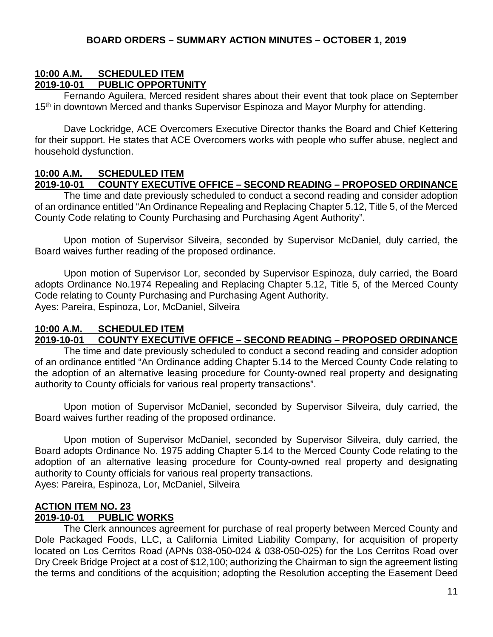#### **10:00 A.M. SCHEDULED ITEM 2019-10-01 PUBLIC OPPORTUNITY**

Fernando Aguilera, Merced resident shares about their event that took place on September 15<sup>th</sup> in downtown Merced and thanks Supervisor Espinoza and Mayor Murphy for attending.

Dave Lockridge, ACE Overcomers Executive Director thanks the Board and Chief Kettering for their support. He states that ACE Overcomers works with people who suffer abuse, neglect and household dysfunction.

# **10:00 A.M. SCHEDULED ITEM**

#### **2019-10-01 COUNTY EXECUTIVE OFFICE – SECOND READING – PROPOSED ORDINANCE**

The time and date previously scheduled to conduct a second reading and consider adoption of an ordinance entitled "An Ordinance Repealing and Replacing Chapter 5.12, Title 5, of the Merced County Code relating to County Purchasing and Purchasing Agent Authority".

Upon motion of Supervisor Silveira, seconded by Supervisor McDaniel, duly carried, the Board waives further reading of the proposed ordinance.

Upon motion of Supervisor Lor, seconded by Supervisor Espinoza, duly carried, the Board adopts Ordinance No.1974 Repealing and Replacing Chapter 5.12, Title 5, of the Merced County Code relating to County Purchasing and Purchasing Agent Authority. Ayes: Pareira, Espinoza, Lor, McDaniel, Silveira

#### **10:00 A.M. SCHEDULED ITEM 2019-10-01 COUNTY EXECUTIVE OFFICE – SECOND READING – PROPOSED ORDINANCE**

The time and date previously scheduled to conduct a second reading and consider adoption of an ordinance entitled "An Ordinance adding Chapter 5.14 to the Merced County Code relating to the adoption of an alternative leasing procedure for County-owned real property and designating authority to County officials for various real property transactions".

Upon motion of Supervisor McDaniel, seconded by Supervisor Silveira, duly carried, the Board waives further reading of the proposed ordinance.

Upon motion of Supervisor McDaniel, seconded by Supervisor Silveira, duly carried, the Board adopts Ordinance No. 1975 adding Chapter 5.14 to the Merced County Code relating to the adoption of an alternative leasing procedure for County-owned real property and designating authority to County officials for various real property transactions. Ayes: Pareira, Espinoza, Lor, McDaniel, Silveira

#### **ACTION ITEM NO. 23 2019-10-01 PUBLIC WORKS**

The Clerk announces agreement for purchase of real property between Merced County and Dole Packaged Foods, LLC, a California Limited Liability Company, for acquisition of property located on Los Cerritos Road (APNs 038-050-024 & 038-050-025) for the Los Cerritos Road over Dry Creek Bridge Project at a cost of \$12,100; authorizing the Chairman to sign the agreement listing the terms and conditions of the acquisition; adopting the Resolution accepting the Easement Deed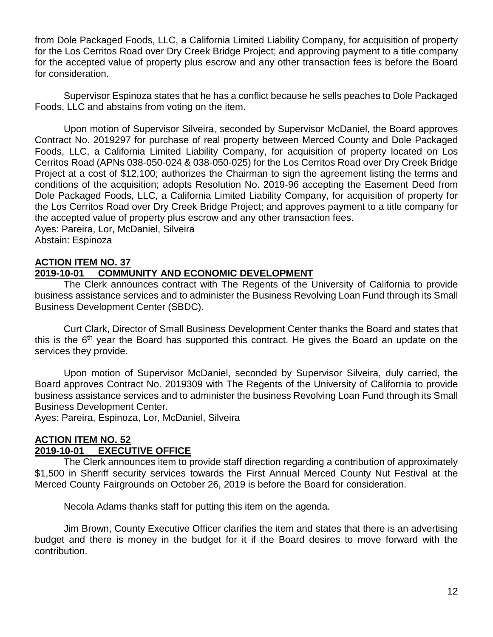from Dole Packaged Foods, LLC, a California Limited Liability Company, for acquisition of property for the Los Cerritos Road over Dry Creek Bridge Project; and approving payment to a title company for the accepted value of property plus escrow and any other transaction fees is before the Board for consideration.

Supervisor Espinoza states that he has a conflict because he sells peaches to Dole Packaged Foods, LLC and abstains from voting on the item.

Upon motion of Supervisor Silveira, seconded by Supervisor McDaniel, the Board approves Contract No. 2019297 for purchase of real property between Merced County and Dole Packaged Foods, LLC, a California Limited Liability Company, for acquisition of property located on Los Cerritos Road (APNs 038-050-024 & 038-050-025) for the Los Cerritos Road over Dry Creek Bridge Project at a cost of \$12,100; authorizes the Chairman to sign the agreement listing the terms and conditions of the acquisition; adopts Resolution No. 2019-96 accepting the Easement Deed from Dole Packaged Foods, LLC, a California Limited Liability Company, for acquisition of property for the Los Cerritos Road over Dry Creek Bridge Project; and approves payment to a title company for the accepted value of property plus escrow and any other transaction fees.

Ayes: Pareira, Lor, McDaniel, Silveira Abstain: Espinoza

## **ACTION ITEM NO. 37**

## **2019-10-01 COMMUNITY AND ECONOMIC DEVELOPMENT**

The Clerk announces contract with The Regents of the University of California to provide business assistance services and to administer the Business Revolving Loan Fund through its Small Business Development Center (SBDC).

Curt Clark, Director of Small Business Development Center thanks the Board and states that this is the 6<sup>th</sup> year the Board has supported this contract. He gives the Board an update on the services they provide.

Upon motion of Supervisor McDaniel, seconded by Supervisor Silveira, duly carried, the Board approves Contract No. 2019309 with The Regents of the University of California to provide business assistance services and to administer the business Revolving Loan Fund through its Small Business Development Center.

Ayes: Pareira, Espinoza, Lor, McDaniel, Silveira

## **ACTION ITEM NO. 52**

## **2019-10-01 EXECUTIVE OFFICE**

The Clerk announces item to provide staff direction regarding a contribution of approximately \$1,500 in Sheriff security services towards the First Annual Merced County Nut Festival at the Merced County Fairgrounds on October 26, 2019 is before the Board for consideration.

Necola Adams thanks staff for putting this item on the agenda.

Jim Brown, County Executive Officer clarifies the item and states that there is an advertising budget and there is money in the budget for it if the Board desires to move forward with the contribution.